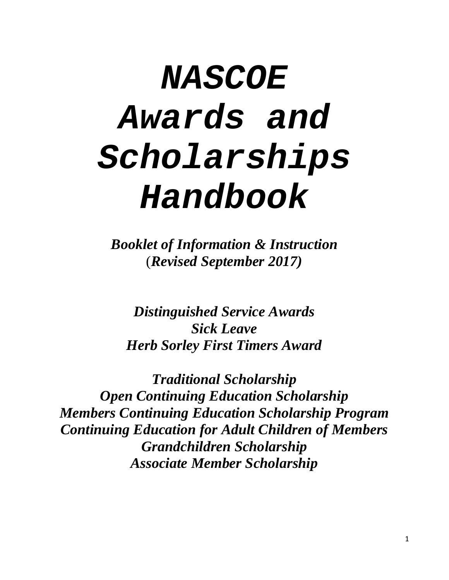# *NASCOE Awards and Scholarships Handbook*

*Booklet of Information & Instruction* (*Revised September 2017)*

*[Distinguished Service Awards](#page-1-0) [Sick Leave](#page-3-0) [Herb Sorley First Timers Award](#page-3-0)*

*[Traditional Scholarship](#page-5-0) [Open Continuing Education Scholarship](#page-5-0) [Members Continuing Education Scholarship Program](#page-6-0) [Continuing Education for Adult Children of Members](#page-6-0) [Grandchildren Scholarship](#page-6-0) [Associate Member Scholarship](#page-7-0)*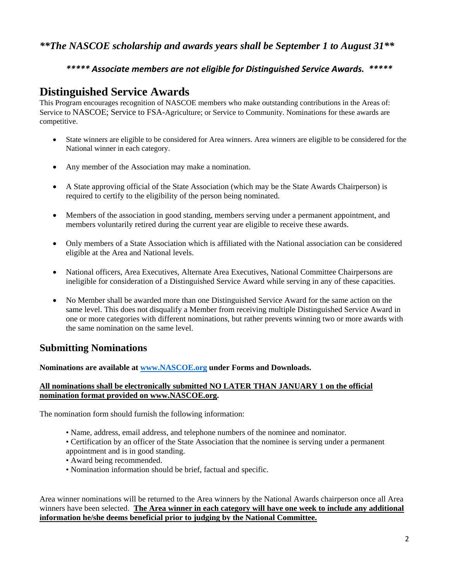#### <span id="page-1-0"></span>*\*\*The NASCOE scholarship and awards years shall be September 1 to August 31\*\**

#### *\*\*\*\*\* Associate members are not eligible for Distinguished Service Awards. \*\*\*\*\**

## **Distinguished Service Awards**

This Program encourages recognition of NASCOE members who make outstanding contributions in the Areas of: Service to NASCOE; Service to FSA-Agriculture; or Service to Community. Nominations for these awards are competitive.

- State winners are eligible to be considered for Area winners. Area winners are eligible to be considered for the National winner in each category.
- Any member of the Association may make a nomination.
- A State approving official of the State Association (which may be the State Awards Chairperson) is required to certify to the eligibility of the person being nominated.
- Members of the association in good standing, members serving under a permanent appointment, and members voluntarily retired during the current year are eligible to receive these awards.
- Only members of a State Association which is affiliated with the National association can be considered eligible at the Area and National levels.
- National officers, Area Executives, Alternate Area Executives, National Committee Chairpersons are ineligible for consideration of a Distinguished Service Award while serving in any of these capacities.
- No Member shall be awarded more than one Distinguished Service Award for the same action on the same level. This does not disqualify a Member from receiving multiple Distinguished Service Award in one or more categories with different nominations, but rather prevents winning two or more awards with the same nomination on the same level.

#### **Submitting Nominations**

**Nominations are available at [www.NASCOE.org](http://www.nascoe.org/) under Forms and Downloads.** 

#### **All nominations shall be electronically submitted NO LATER THAN JANUARY 1 on the official nomination format provided on www.NASCOE.org.**

The nomination form should furnish the following information:

- Name, address, email address, and telephone numbers of the nominee and nominator.
- Certification by an officer of the State Association that the nominee is serving under a permanent appointment and is in good standing.
- Award being recommended.
- Nomination information should be brief, factual and specific.

Area winner nominations will be returned to the Area winners by the National Awards chairperson once all Area winners have been selected. **The Area winner in each category will have one week to include any additional information he/she deems beneficial prior to judging by the National Committee.**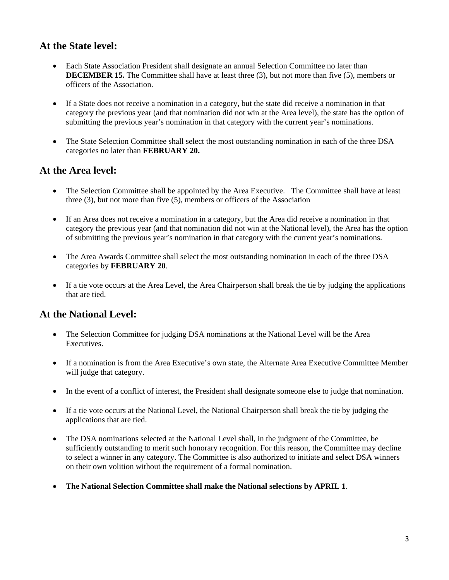#### **At the State level:**

- Each State Association President shall designate an annual Selection Committee no later than **DECEMBER 15.** The Committee shall have at least three (3), but not more than five (5), members or officers of the Association.
- If a State does not receive a nomination in a category, but the state did receive a nomination in that category the previous year (and that nomination did not win at the Area level), the state has the option of submitting the previous year's nomination in that category with the current year's nominations.
- The State Selection Committee shall select the most outstanding nomination in each of the three DSA categories no later than **FEBRUARY 20.**

#### **At the Area level:**

- The Selection Committee shall be appointed by the Area Executive. The Committee shall have at least three (3), but not more than five (5), members or officers of the Association
- If an Area does not receive a nomination in a category, but the Area did receive a nomination in that category the previous year (and that nomination did not win at the National level), the Area has the option of submitting the previous year's nomination in that category with the current year's nominations.
- The Area Awards Committee shall select the most outstanding nomination in each of the three DSA categories by **FEBRUARY 20**.
- If a tie vote occurs at the Area Level, the Area Chairperson shall break the tie by judging the applications that are tied.

#### **At the National Level:**

- The Selection Committee for judging DSA nominations at the National Level will be the Area Executives.
- If a nomination is from the Area Executive's own state, the Alternate Area Executive Committee Member will judge that category.
- In the event of a conflict of interest, the President shall designate someone else to judge that nomination.
- If a tie vote occurs at the National Level, the National Chairperson shall break the tie by judging the applications that are tied.
- The DSA nominations selected at the National Level shall, in the judgment of the Committee, be sufficiently outstanding to merit such honorary recognition. For this reason, the Committee may decline to select a winner in any category. The Committee is also authorized to initiate and select DSA winners on their own volition without the requirement of a formal nomination.
- **The National Selection Committee shall make the National selections by APRIL 1**.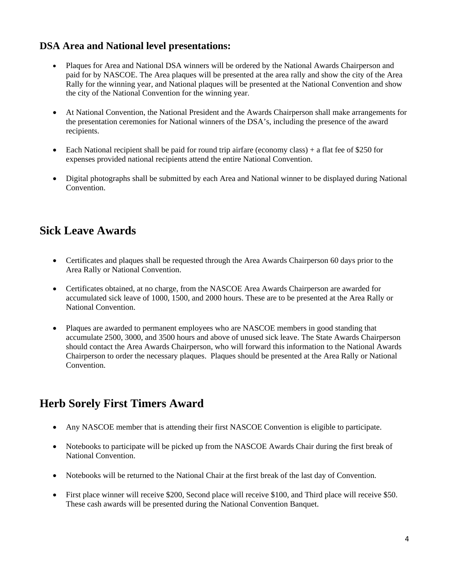## <span id="page-3-0"></span>**DSA Area and National level presentations:**

- Plaques for Area and National DSA winners will be ordered by the National Awards Chairperson and paid for by NASCOE. The Area plaques will be presented at the area rally and show the city of the Area Rally for the winning year, and National plaques will be presented at the National Convention and show the city of the National Convention for the winning year.
- At National Convention, the National President and the Awards Chairperson shall make arrangements for the presentation ceremonies for National winners of the DSA's, including the presence of the award recipients.
- Each National recipient shall be paid for round trip airfare (economy class) + a flat fee of \$250 for expenses provided national recipients attend the entire National Convention.
- Digital photographs shall be submitted by each Area and National winner to be displayed during National Convention.

## **Sick Leave Awards**

- Certificates and plaques shall be requested through the Area Awards Chairperson 60 days prior to the Area Rally or National Convention.
- Certificates obtained, at no charge, from the NASCOE Area Awards Chairperson are awarded for accumulated sick leave of 1000, 1500, and 2000 hours. These are to be presented at the Area Rally or National Convention.
- Plaques are awarded to permanent employees who are NASCOE members in good standing that accumulate 2500, 3000, and 3500 hours and above of unused sick leave. The State Awards Chairperson should contact the Area Awards Chairperson, who will forward this information to the National Awards Chairperson to order the necessary plaques. Plaques should be presented at the Area Rally or National Convention.

## **Herb Sorely First Timers Award**

- Any NASCOE member that is attending their first NASCOE Convention is eligible to participate.
- Notebooks to participate will be picked up from the NASCOE Awards Chair during the first break of National Convention.
- Notebooks will be returned to the National Chair at the first break of the last day of Convention.
- First place winner will receive \$200, Second place will receive \$100, and Third place will receive \$50. These cash awards will be presented during the National Convention Banquet.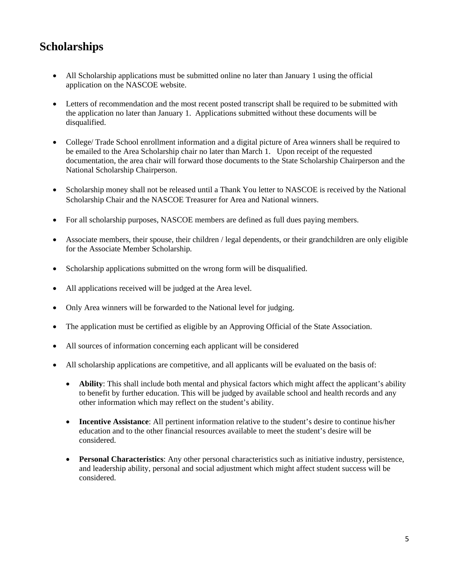# **Scholarships**

- All Scholarship applications must be submitted online no later than January 1 using the official application on the NASCOE website.
- Letters of recommendation and the most recent posted transcript shall be required to be submitted with the application no later than January 1. Applications submitted without these documents will be disqualified.
- College/ Trade School enrollment information and a digital picture of Area winners shall be required to be emailed to the Area Scholarship chair no later than March 1. Upon receipt of the requested documentation, the area chair will forward those documents to the State Scholarship Chairperson and the National Scholarship Chairperson.
- Scholarship money shall not be released until a Thank You letter to NASCOE is received by the National Scholarship Chair and the NASCOE Treasurer for Area and National winners.
- For all scholarship purposes, NASCOE members are defined as full dues paying members.
- Associate members, their spouse, their children / legal dependents, or their grandchildren are only eligible for the Associate Member Scholarship*.*
- Scholarship applications submitted on the wrong form will be disqualified.
- All applications received will be judged at the Area level.
- Only Area winners will be forwarded to the National level for judging.
- The application must be certified as eligible by an Approving Official of the State Association.
- All sources of information concerning each applicant will be considered
- All scholarship applications are competitive, and all applicants will be evaluated on the basis of:
	- **Ability**: This shall include both mental and physical factors which might affect the applicant's ability to benefit by further education. This will be judged by available school and health records and any other information which may reflect on the student's ability.
	- **Incentive Assistance**: All pertinent information relative to the student's desire to continue his/her education and to the other financial resources available to meet the student's desire will be considered.
	- **Personal Characteristics**: Any other personal characteristics such as initiative industry, persistence, and leadership ability, personal and social adjustment which might affect student success will be considered.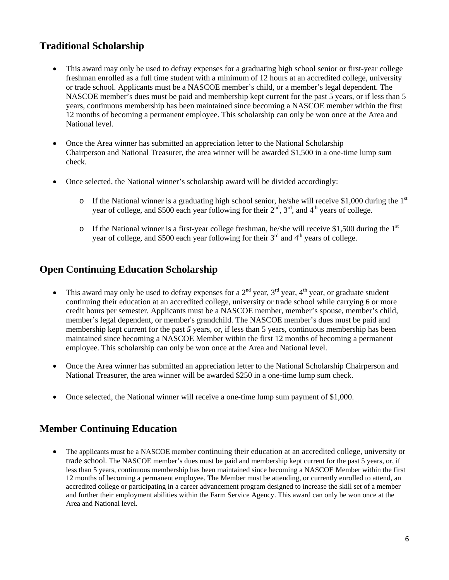## <span id="page-5-0"></span>**Traditional Scholarship**

- This award may only be used to defray expenses for a graduating high school senior or first-year college freshman enrolled as a full time student with a minimum of 12 hours at an accredited college, university or trade school. Applicants must be a NASCOE member's child, or a member's legal dependent. The NASCOE member's dues must be paid and membership kept current for the past 5 years, or if less than 5 years, continuous membership has been maintained since becoming a NASCOE member within the first 12 months of becoming a permanent employee. This scholarship can only be won once at the Area and National level.
- Once the Area winner has submitted an appreciation letter to the National Scholarship Chairperson and National Treasurer, the area winner will be awarded \$1,500 in a one-time lump sum check.
- Once selected, the National winner's scholarship award will be divided accordingly:
	- $\circ$  If the National winner is a graduating high school senior, he/she will receive \$1,000 during the 1<sup>st</sup> year of college, and \$500 each year following for their  $2<sup>nd</sup>$ ,  $3<sup>rd</sup>$ , and  $4<sup>th</sup>$  years of college.
	- o If the National winner is a first-year college freshman, he/she will receive \$1,500 during the  $1<sup>st</sup>$ year of college, and \$500 each year following for their  $3<sup>rd</sup>$  and  $4<sup>th</sup>$  years of college.

#### **Open Continuing Education Scholarship**

- This award may only be used to defray expenses for a  $2<sup>nd</sup>$  year,  $3<sup>rd</sup>$  year,  $4<sup>th</sup>$  year, or graduate student continuing their education at an accredited college, university or trade school while carrying 6 or more credit hours per semester. Applicants must be a NASCOE member, member's spouse, member's child, member's legal dependent, or member's grandchild. The NASCOE member's dues must be paid and membership kept current for the past *5* years, or, if less than 5 years, continuous membership has been maintained since becoming a NASCOE Member within the first 12 months of becoming a permanent employee. This scholarship can only be won once at the Area and National level.
- Once the Area winner has submitted an appreciation letter to the National Scholarship Chairperson and National Treasurer, the area winner will be awarded \$250 in a one-time lump sum check.
- Once selected, the National winner will receive a one-time lump sum payment of \$1,000.

#### **Member Continuing Education**

• The applicants must be a NASCOE member continuing their education at an accredited college, university or trade school. The NASCOE member's dues must be paid and membership kept current for the past 5 years, or, if less than 5 years, continuous membership has been maintained since becoming a NASCOE Member within the first 12 months of becoming a permanent employee. The Member must be attending, or currently enrolled to attend, an accredited college or participating in a career advancement program designed to increase the skill set of a member and further their employment abilities within the Farm Service Agency. This award can only be won once at the Area and National level.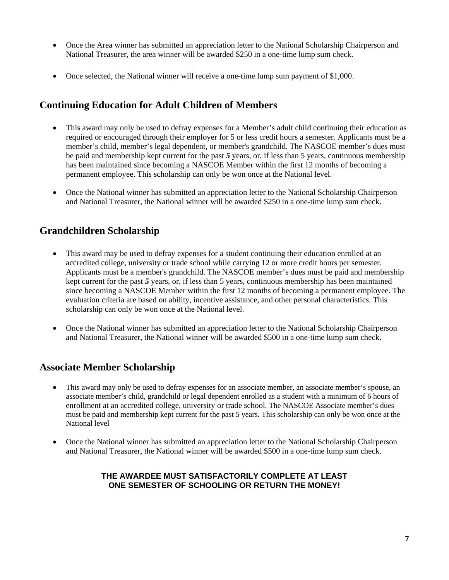- <span id="page-6-0"></span>• Once the Area winner has submitted an appreciation letter to the National Scholarship Chairperson and National Treasurer, the area winner will be awarded \$250 in a one-time lump sum check.
- Once selected, the National winner will receive a one-time lump sum payment of \$1,000.

#### **Continuing Education for Adult Children of Members**

- This award may only be used to defray expenses for a Member's adult child continuing their education as required or encouraged through their employer for 5 or less credit hours a semester. Applicants must be a member's child, member's legal dependent, or member's grandchild. The NASCOE member's dues must be paid and membership kept current for the past *5* years, or, if less than 5 years, continuous membership has been maintained since becoming a NASCOE Member within the first 12 months of becoming a permanent employee. This scholarship can only be won once at the National level.
- Once the National winner has submitted an appreciation letter to the National Scholarship Chairperson and National Treasurer, the National winner will be awarded \$250 in a one-time lump sum check.

### **Grandchildren Scholarship**

- This award may be used to defray expenses for a student continuing their education enrolled at an accredited college, university or trade school while carrying 12 or more credit hours per semester. Applicants must be a member's grandchild. The NASCOE member's dues must be paid and membership kept current for the past *5* years, or, if less than 5 years, continuous membership has been maintained since becoming a NASCOE Member within the first 12 months of becoming a permanent employee. The evaluation criteria are based on ability, incentive assistance, and other personal characteristics. This scholarship can only be won once at the National level.
- Once the National winner has submitted an appreciation letter to the National Scholarship Chairperson and National Treasurer, the National winner will be awarded \$500 in a one-time lump sum check.

#### **Associate Member Scholarship**

- This award may only be used to defray expenses for an associate member, an associate member's spouse, an associate member's child, grandchild or legal dependent enrolled as a student with a minimum of 6 hours of enrollment at an accredited college, university or trade school. The NASCOE Associate member's dues must be paid and membership kept current for the past 5 years. This scholarship can only be won once at the National level
- Once the National winner has submitted an appreciation letter to the National Scholarship Chairperson and National Treasurer, the National winner will be awarded \$500 in a one-time lump sum check.

#### **THE AWARDEE MUST SATISFACTORILY COMPLETE AT LEAST ONE SEMESTER OF SCHOOLING OR RETURN THE MONEY!**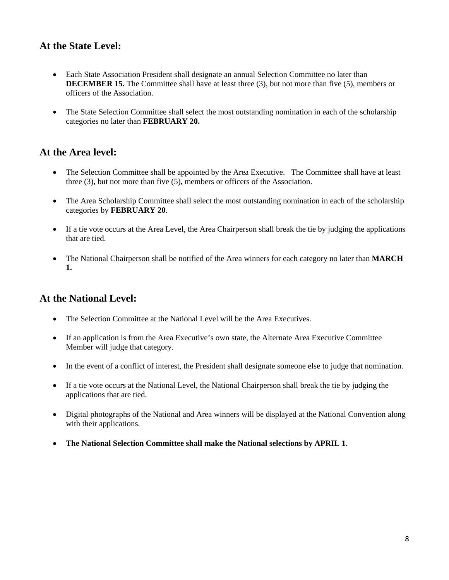### <span id="page-7-0"></span>**At the State Level:**

- Each State Association President shall designate an annual Selection Committee no later than **DECEMBER 15.** The Committee shall have at least three (3), but not more than five (5), members or officers of the Association.
- The State Selection Committee shall select the most outstanding nomination in each of the scholarship categories no later than **FEBRUARY 20.**

#### **At the Area level:**

- The Selection Committee shall be appointed by the Area Executive. The Committee shall have at least three (3), but not more than five (5), members or officers of the Association.
- The Area Scholarship Committee shall select the most outstanding nomination in each of the scholarship categories by **FEBRUARY 20**.
- If a tie vote occurs at the Area Level, the Area Chairperson shall break the tie by judging the applications that are tied.
- The National Chairperson shall be notified of the Area winners for each category no later than **MARCH 1.**

#### **At the National Level:**

- The Selection Committee at the National Level will be the Area Executives.
- If an application is from the Area Executive's own state, the Alternate Area Executive Committee Member will judge that category.
- In the event of a conflict of interest, the President shall designate someone else to judge that nomination.
- If a tie vote occurs at the National Level, the National Chairperson shall break the tie by judging the applications that are tied.
- Digital photographs of the National and Area winners will be displayed at the National Convention along with their applications.
- **The National Selection Committee shall make the National selections by APRIL 1**.